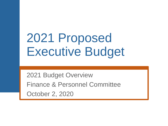# 2021 Proposed Executive Budget

2021 Budget Overview Finance & Personnel Committee October 2, 2020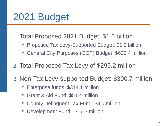## 2021 Budget

- 1. Total Proposed 2021 Budget: \$1.6 billion
	- Proposed Tax Levy-Supported Budget: \$1.2 billion
	- General City Purposes (GCP) Budget: \$639.4 million
- 2. Total Proposed Tax Levy of \$299.2 million
- 3. Non-Tax Levy-supported Budget: \$390.7 million
	- Enterprise funds: \$314.1 million
	- Grant & Aid Fund: \$51.4 million
	- County Delinquent Tax Fund: \$8.0 million
	- Development Fund: \$17.3 million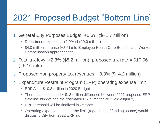#### 2021 Proposed Budget "Bottom Line"

- 1. General City Purposes Budget: +0.3% (\$+1.7 million)
	- Department expenses: +2.9% (\$+19.0 million)
	- \$4.0 million increase (+3.6%) to Employee Health Care Benefits and Workers' Compensation appropriations
- 2. Total tax levy:  $+2.8\%$  (\$8.2 million); proposed tax rate = \$10.06 (- 52 cents)
- 3. Proposed non-property tax revenues: +0.8% (\$+4.2 million)
- 4. Expenditure Restraint Program (ERP) operating expense limit
	- ERP Aid = \$10.3 million in 2020 Budget
	- There is an estimated ~ \$12 million difference between 2021 proposed ERP expense budget and the estimated ERP limit for 2022 aid eligibility
	- ERP threshold will be finalized in October
	- Operating expense total over the limit (regardless of funding source) would disqualify City from 2022 ERP aid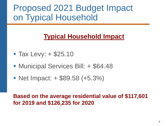### Proposed 2021 Budget Impact on Typical Household

#### **Typical Household Impact**

- $\blacksquare$  Tax Levy:  $\pm$  \$25.10
- **Municipal Services Bill: + \$64.48**
- $\blacksquare$  Net Impact:  $\pm$  \$89.58 (+5.3%)

#### **Based on the average residential value of \$117,601 for 2019 and \$126,235 for 2020**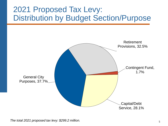#### 2021 Proposed Tax Levy: Distribution by Budget Section/Purpose



*The total 2021 proposed tax levy: \$299.2 million.*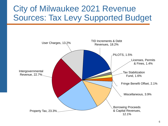#### City of Milwaukee 2021 Revenue Sources: Tax Levy Supported Budget

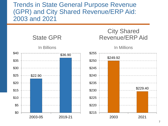#### Trends in State General Purpose Revenue (GPR) and City Shared Revenue/ERP Aid: 2003 and 2021

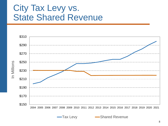#### City Tax Levy vs. State Shared Revenue

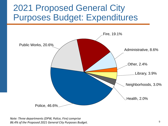### 2021 Proposed General City Purposes Budget: Expenditures



*Note: Three departments (DPW, Police, Fire) comprise 86.4% of the Proposed 2021 General City Purposes Budget.*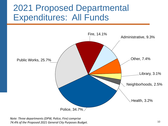### 2021 Proposed Departmental Expenditures: All Funds



*Note: Three departments (DPW, Police, Fire) comprise 74.4% of the Proposed 2021 General City Purposes Budget.*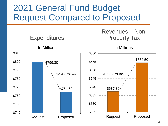### 2021 General Fund Budget Request Compared to Proposed

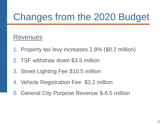## Changes from the 2020 Budget

#### Revenues

- 1. Property tax levy increases 2.8% (\$8.2 million)
- 2. TSF withdraw down \$3.5 million
- 3. Street Lighting Fee \$10.5 million
- 4. Vehicle Registration Fee \$3.2 million
- 5. General City Purpose Revenue \$-6.5 million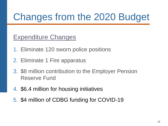## Changes from the 2020 Budget

Expenditure Changes

- 1. Eliminate 120 sworn police positions
- 2. Eliminate 1 Fire apparatus
- 3. \$8 million contribution to the Employer Pension Reserve Fund
- 4. \$6.4 million for housing initiatives
- 5. \$4 million of CDBG funding for COVID-19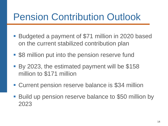## Pension Contribution Outlook

- Budgeted a payment of \$71 million in 2020 based on the current stabilized contribution plan
- **S8 million put into the pension reserve fund**
- By 2023, the estimated payment will be \$158 million to \$171 million
- Current pension reserve balance is \$34 million
- Build up pension reserve balance to \$50 million by 2023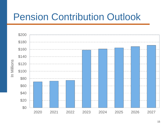## Pension Contribution Outlook

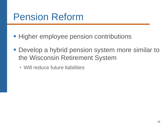## Pension Reform

- **Higher employee pension contributions**
- **Develop a hybrid pension system more similar to** the Wisconsin Retirement System
	- Will reduce future liabilities